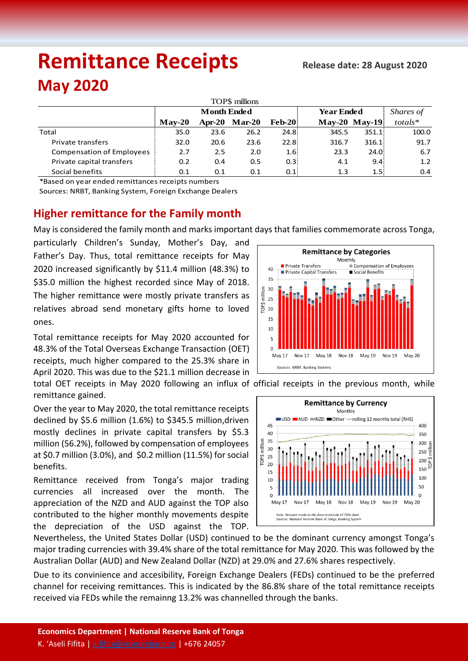# **Remittance Receipts** *Remittance* **Receipts May 2020**

| TOPS millions                    |                    |               |          |               |                   |                  |            |  |  |  |  |  |
|----------------------------------|--------------------|---------------|----------|---------------|-------------------|------------------|------------|--|--|--|--|--|
|                                  | <b>Month Ended</b> |               |          |               | <b>Year Ended</b> | Shares of        |            |  |  |  |  |  |
|                                  | $Mav-20$           | <b>Apr-20</b> | $Mar-20$ | <b>Feb-20</b> |                   | $May-20$ May-19  | $totals^*$ |  |  |  |  |  |
| Total                            | 35.0               | 23.6          | 26.2     | 24.8          | 345.5             | 351.1:           | 100.0      |  |  |  |  |  |
| Private transfers                | 32.0               | 20.6          | 23.6     | 22.8          | 316.7             | 316.1:           | 91.7       |  |  |  |  |  |
| <b>Compensation of Employees</b> | 2.7                | 2.5           | 2.0      | 1.6%          | 23.3              | 24.0             | 6.7        |  |  |  |  |  |
| Private capital transfers        | 0.2                | 0.4           | 0.5      | 0.3           | 4.1               | 9.4:             | 1.2        |  |  |  |  |  |
| Social benefits                  | 0.1                | 0.1           | 0.1      | 0.1           | 1.3               | 1.5 <sup>1</sup> | 0.4        |  |  |  |  |  |

\*Based on year ended remittances receipts numbers

Sources: NRBT, Banking System, Foreign Exchange Dealers

## **Higher remittance for the Family month**

May is considered the family month and marks important days that families commemorate across Tonga,

particularly Children's Sunday, Mother's Day, and Father's Day. Thus, total remittance receipts for May 2020 increased significantly by \$11.4 million (48.3%) to \$35.0 million the highest recorded since May of 2018. The higher remittance were mostly private transfers as relatives abroad send monetary gifts home to loved ones.

Total remittance receipts for May 2020 accounted for 48.3% of the Total Overseas Exchange Transaction (OET) receipts, much higher compared to the 25.3% share in April 2020. This was due to the \$21.1 million decrease in total OET receipts in May 2020 following an influx of official receipts in the previous month, while remittance gained.

Over the year to May 2020, the total remittance receipts declined by \$5.6 million (1.6%) to \$345.5 million,driven mostly declines in private capital transfers by \$5.3 million (56.2%), followed by compensation of employees at \$0.7 million (3.0%), and \$0.2 million (11.5%) for social benefits.

Remittance received from Tonga's major trading currencies all increased over the month. The appreciation of the NZD and AUD against the TOP also contributed to the higher monthly movements despite the depreciation of the USD against the TOP.





Nevertheless, the United States Dollar (USD) continued to be the dominant currency amongst Tonga's major trading currencies with 39.4% share of the total remittance for May 2020. This was followed by the Australian Dollar (AUD) and New Zealand Dollar (NZD) at 29.0% and 27.6% shares respectively.

Due to its convinience and accesibility, Foreign Exchange Dealers (FEDs) continued to be the preferred channel for receiving remittances. This is indicated by the 86.8% share of the total remittance receipts received via FEDs while the remainng 13.2% was channelled through the banks.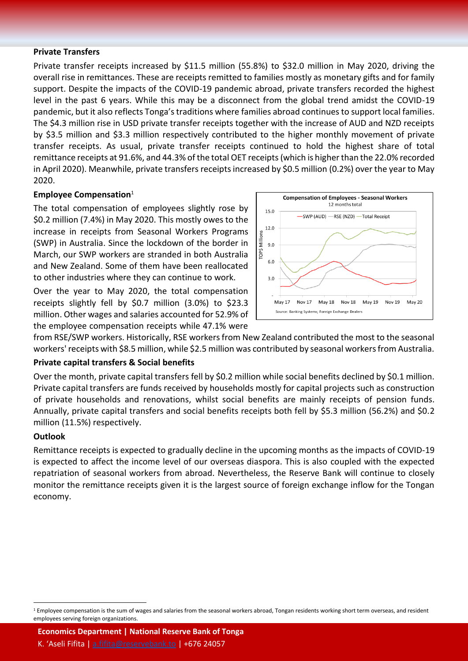#### **Private Transfers**

Private transfer receipts increased by \$11.5 million (55.8%) to \$32.0 million in May 2020, driving the overall rise in remittances. These are receipts remitted to families mostly as monetary gifts and for family support. Despite the impacts of the COVID-19 pandemic abroad, private transfers recorded the highest level in the past 6 years. While this may be a disconnect from the global trend amidst the COVID-19 pandemic, but it also reflects Tonga's traditions where families abroad continues to support local families. The \$4.3 million rise in USD private transfer receipts together with the increase of AUD and NZD receipts by \$3.5 million and \$3.3 million respectively contributed to the higher monthly movement of private transfer receipts. As usual, private transfer receipts continued to hold the highest share of total remittance receipts at 91.6%, and 44.3% of the total OET receipts (which is higher than the 22.0% recorded in April 2020). Meanwhile, private transfers receipts increased by \$0.5 million (0.2%) over the year to May 2020.

#### **Employee Compensation**<sup>1</sup>

The total compensation of employees slightly rose by \$0.2 million (7.4%) in May 2020. This mostly owes to the increase in receipts from Seasonal Workers Programs (SWP) in Australia. Since the lockdown of the border in March, our SWP workers are stranded in both Australia and New Zealand. Some of them have been reallocated to other industries where they can continue to work.

Over the year to May 2020, the total compensation receipts slightly fell by \$0.7 million (3.0%) to \$23.3 million. Other wages and salaries accounted for 52.9% of the employee compensation receipts while 47.1% were



from RSE/SWP workers. Historically, RSE workers from New Zealand contributed the most to the seasonal workers' receipts with \$8.5 million, while \$2.5 million was contributed by seasonal workers from Australia.

### **Private capital transfers & Social benefits**

Over the month, private capital transfers fell by \$0.2 million while social benefits declined by \$0.1 million. Private capital transfers are funds received by households mostly for capital projects such as construction of private households and renovations, whilst social benefits are mainly receipts of pension funds. Annually, private capital transfers and social benefits receipts both fell by \$5.3 million (56.2%) and \$0.2 million (11.5%) respectively.

#### **Outlook**

 $\overline{a}$ 

Remittance receipts is expected to gradually decline in the upcoming months as the impacts of COVID-19 is expected to affect the income level of our overseas diaspora. This is also coupled with the expected repatriation of seasonal workers from abroad. Nevertheless, the Reserve Bank will continue to closely monitor the remittance receipts given it is the largest source of foreign exchange inflow for the Tongan economy.

**Economics Department | National Reserve Bank of Tonga**

K. 'Aseli Fifita | [a.fifita@reservebank.to](mailto:a.fifita@reservebank.to) | +676 24057

<sup>&</sup>lt;sup>1</sup> Employee compensation is the sum of wages and salaries from the seasonal workers abroad, Tongan residents working short term overseas, and resident employees serving foreign organizations.